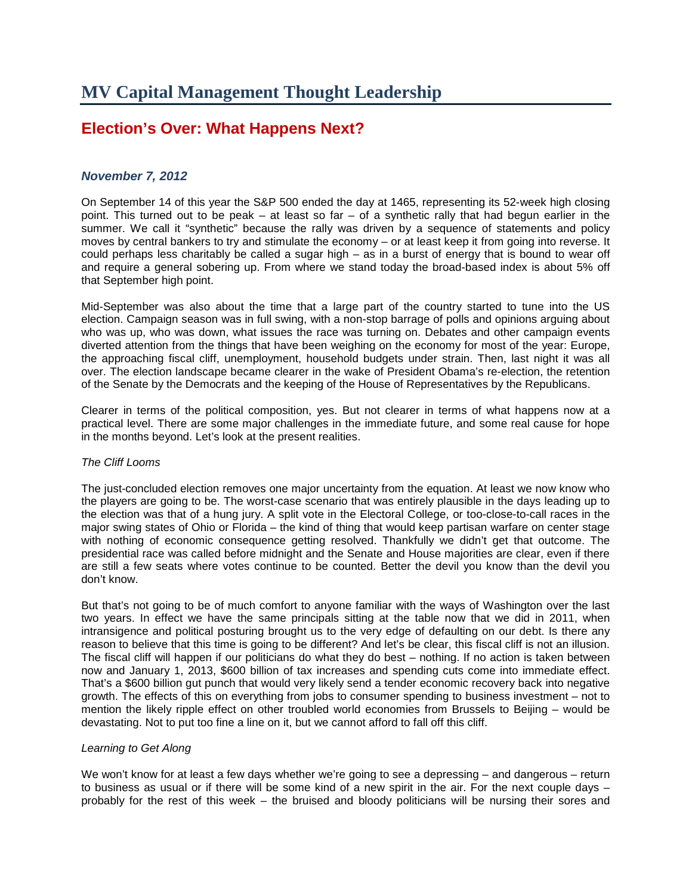## **Election's Over: What Happens Next?**

## *November 7, 2012*

On September 14 of this year the S&P 500 ended the day at 1465, representing its 52-week high closing point. This turned out to be peak – at least so far – of a synthetic rally that had begun earlier in the summer. We call it "synthetic" because the rally was driven by a sequence of statements and policy moves by central bankers to try and stimulate the economy – or at least keep it from going into reverse. It could perhaps less charitably be called a sugar high – as in a burst of energy that is bound to wear off and require a general sobering up. From where we stand today the broad-based index is about 5% off that September high point.

Mid-September was also about the time that a large part of the country started to tune into the US election. Campaign season was in full swing, with a non-stop barrage of polls and opinions arguing about who was up, who was down, what issues the race was turning on. Debates and other campaign events diverted attention from the things that have been weighing on the economy for most of the year: Europe, the approaching fiscal cliff, unemployment, household budgets under strain. Then, last night it was all over. The election landscape became clearer in the wake of President Obama's re-election, the retention of the Senate by the Democrats and the keeping of the House of Representatives by the Republicans.

Clearer in terms of the political composition, yes. But not clearer in terms of what happens now at a practical level. There are some major challenges in the immediate future, and some real cause for hope in the months beyond. Let's look at the present realities.

## *The Cliff Looms*

The just-concluded election removes one major uncertainty from the equation. At least we now know who the players are going to be. The worst-case scenario that was entirely plausible in the days leading up to the election was that of a hung jury. A split vote in the Electoral College, or too-close-to-call races in the major swing states of Ohio or Florida – the kind of thing that would keep partisan warfare on center stage with nothing of economic consequence getting resolved. Thankfully we didn't get that outcome. The presidential race was called before midnight and the Senate and House majorities are clear, even if there are still a few seats where votes continue to be counted. Better the devil you know than the devil you don't know.

But that's not going to be of much comfort to anyone familiar with the ways of Washington over the last two years. In effect we have the same principals sitting at the table now that we did in 2011, when intransigence and political posturing brought us to the very edge of defaulting on our debt. Is there any reason to believe that this time is going to be different? And let's be clear, this fiscal cliff is not an illusion. The fiscal cliff will happen if our politicians do what they do best – nothing. If no action is taken between now and January 1, 2013, \$600 billion of tax increases and spending cuts come into immediate effect. That's a \$600 billion gut punch that would very likely send a tender economic recovery back into negative growth. The effects of this on everything from jobs to consumer spending to business investment – not to mention the likely ripple effect on other troubled world economies from Brussels to Beijing – would be devastating. Not to put too fine a line on it, but we cannot afford to fall off this cliff.

## *Learning to Get Along*

We won't know for at least a few days whether we're going to see a depressing – and dangerous – return to business as usual or if there will be some kind of a new spirit in the air. For the next couple days – probably for the rest of this week – the bruised and bloody politicians will be nursing their sores and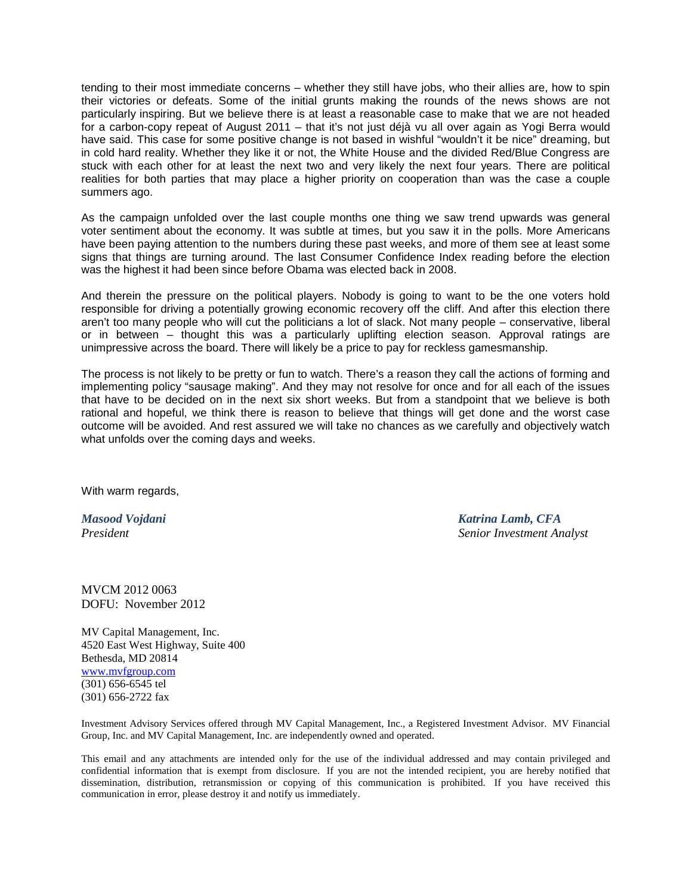tending to their most immediate concerns – whether they still have jobs, who their allies are, how to spin their victories or defeats. Some of the initial grunts making the rounds of the news shows are not particularly inspiring. But we believe there is at least a reasonable case to make that we are not headed for a carbon-copy repeat of August 2011 – that it's not just déjà vu all over again as Yogi Berra would have said. This case for some positive change is not based in wishful "wouldn't it be nice" dreaming, but in cold hard reality. Whether they like it or not, the White House and the divided Red/Blue Congress are stuck with each other for at least the next two and very likely the next four years. There are political realities for both parties that may place a higher priority on cooperation than was the case a couple summers ago.

As the campaign unfolded over the last couple months one thing we saw trend upwards was general voter sentiment about the economy. It was subtle at times, but you saw it in the polls. More Americans have been paying attention to the numbers during these past weeks, and more of them see at least some signs that things are turning around. The last Consumer Confidence Index reading before the election was the highest it had been since before Obama was elected back in 2008.

And therein the pressure on the political players. Nobody is going to want to be the one voters hold responsible for driving a potentially growing economic recovery off the cliff. And after this election there aren't too many people who will cut the politicians a lot of slack. Not many people – conservative, liberal or in between – thought this was a particularly uplifting election season. Approval ratings are unimpressive across the board. There will likely be a price to pay for reckless gamesmanship.

The process is not likely to be pretty or fun to watch. There's a reason they call the actions of forming and implementing policy "sausage making". And they may not resolve for once and for all each of the issues that have to be decided on in the next six short weeks. But from a standpoint that we believe is both rational and hopeful, we think there is reason to believe that things will get done and the worst case outcome will be avoided. And rest assured we will take no chances as we carefully and objectively watch what unfolds over the coming days and weeks.

With warm regards,

*Masood Vojdani Katrina Lamb, CFA President Senior Investment Analyst*

MVCM 2012 0063 DOFU: November 2012

MV Capital Management, Inc. 4520 East West Highway, Suite 400 Bethesda, MD 20814 [www.mvfgroup.com](https://mail.mvfgroup.com/exchweb/bin/redir.asp?URL=http://www.mvfgroup.com) (301) 656-6545 tel (301) 656-2722 fax

Investment Advisory Services offered through MV Capital Management, Inc., a Registered Investment Advisor. MV Financial Group, Inc. and MV Capital Management, Inc. are independently owned and operated.

This email and any attachments are intended only for the use of the individual addressed and may contain privileged and confidential information that is exempt from disclosure. If you are not the intended recipient, you are hereby notified that dissemination, distribution, retransmission or copying of this communication is prohibited. If you have received this communication in error, please destroy it and notify us immediately.